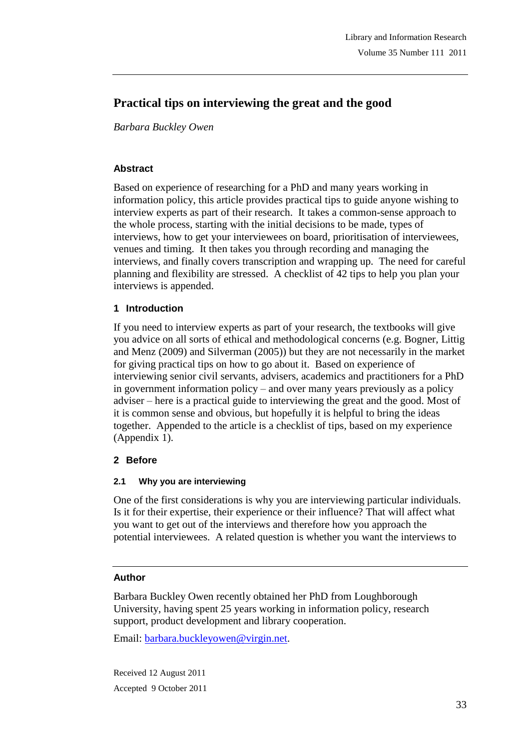# **Practical tips on interviewing the great and the good**

*Barbara Buckley Owen*

### **Abstract**

Based on experience of researching for a PhD and many years working in information policy, this article provides practical tips to guide anyone wishing to interview experts as part of their research. It takes a common-sense approach to the whole process, starting with the initial decisions to be made, types of interviews, how to get your interviewees on board, prioritisation of interviewees, venues and timing. It then takes you through recording and managing the interviews, and finally covers transcription and wrapping up. The need for careful planning and flexibility are stressed. A checklist of 42 tips to help you plan your interviews is appended.

### **1 Introduction**

If you need to interview experts as part of your research, the textbooks will give you advice on all sorts of ethical and methodological concerns (e.g. Bogner, Littig and Menz (2009) and Silverman (2005)) but they are not necessarily in the market for giving practical tips on how to go about it. Based on experience of interviewing senior civil servants, advisers, academics and practitioners for a PhD in government information policy – and over many years previously as a policy adviser – here is a practical guide to interviewing the great and the good. Most of it is common sense and obvious, but hopefully it is helpful to bring the ideas together. Appended to the article is a checklist of tips, based on my experience (Appendix 1).

# **2 Before**

# **2.1 Why you are interviewing**

One of the first considerations is why you are interviewing particular individuals. Is it for their expertise, their experience or their influence? That will affect what you want to get out of the interviews and therefore how you approach the potential interviewees. A related question is whether you want the interviews to

### **Author**

Barbara Buckley Owen recently obtained her PhD from Loughborough University, having spent 25 years working in information policy, research support, product development and library cooperation.

Email: barbara.buckleyowen@virgin.net.

Received 12 August 2011 Accepted 9 October 2011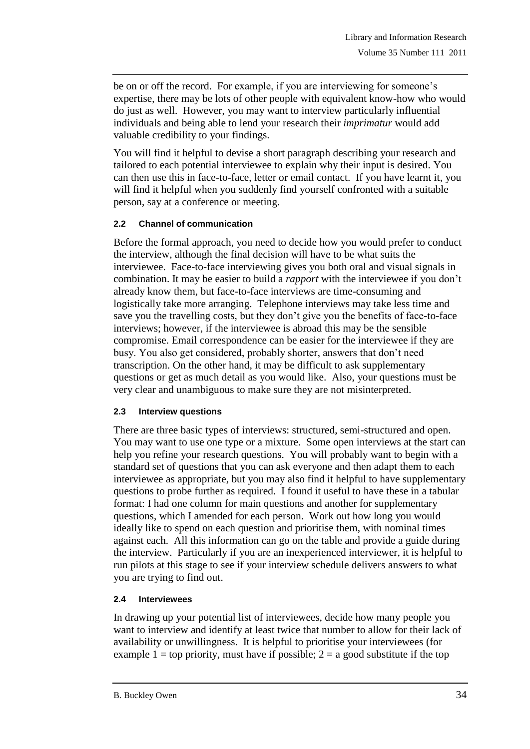be on or off the record. For example, if you are interviewing for someone's expertise, there may be lots of other people with equivalent know-how who would do just as well. However, you may want to interview particularly influential individuals and being able to lend your research their *imprimatur* would add valuable credibility to your findings.

You will find it helpful to devise a short paragraph describing your research and tailored to each potential interviewee to explain why their input is desired. You can then use this in face-to-face, letter or email contact. If you have learnt it, you will find it helpful when you suddenly find yourself confronted with a suitable person, say at a conference or meeting.

### **2.2 Channel of communication**

Before the formal approach, you need to decide how you would prefer to conduct the interview, although the final decision will have to be what suits the interviewee. Face-to-face interviewing gives you both oral and visual signals in combination. It may be easier to build a *rapport* with the interviewee if you don"t already know them, but face-to-face interviews are time-consuming and logistically take more arranging. Telephone interviews may take less time and save you the travelling costs, but they don"t give you the benefits of face-to-face interviews; however, if the interviewee is abroad this may be the sensible compromise. Email correspondence can be easier for the interviewee if they are busy. You also get considered, probably shorter, answers that don"t need transcription. On the other hand, it may be difficult to ask supplementary questions or get as much detail as you would like. Also, your questions must be very clear and unambiguous to make sure they are not misinterpreted.

#### **2.3 Interview questions**

There are three basic types of interviews: structured, semi-structured and open. You may want to use one type or a mixture. Some open interviews at the start can help you refine your research questions. You will probably want to begin with a standard set of questions that you can ask everyone and then adapt them to each interviewee as appropriate, but you may also find it helpful to have supplementary questions to probe further as required. I found it useful to have these in a tabular format: I had one column for main questions and another for supplementary questions, which I amended for each person. Work out how long you would ideally like to spend on each question and prioritise them, with nominal times against each. All this information can go on the table and provide a guide during the interview. Particularly if you are an inexperienced interviewer, it is helpful to run pilots at this stage to see if your interview schedule delivers answers to what you are trying to find out.

#### **2.4 Interviewees**

In drawing up your potential list of interviewees, decide how many people you want to interview and identify at least twice that number to allow for their lack of availability or unwillingness. It is helpful to prioritise your interviewees (for example  $1 = top$  priority, must have if possible;  $2 = a$  good substitute if the top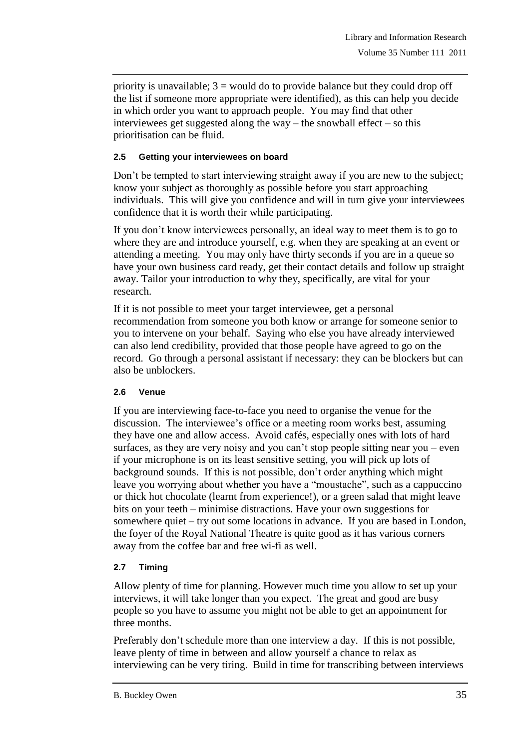priority is unavailable;  $3 =$  would do to provide balance but they could drop off the list if someone more appropriate were identified), as this can help you decide in which order you want to approach people. You may find that other interviewees get suggested along the way – the snowball effect – so this prioritisation can be fluid.

### **2.5 Getting your interviewees on board**

Don"t be tempted to start interviewing straight away if you are new to the subject; know your subject as thoroughly as possible before you start approaching individuals. This will give you confidence and will in turn give your interviewees confidence that it is worth their while participating.

If you don"t know interviewees personally, an ideal way to meet them is to go to where they are and introduce yourself, e.g. when they are speaking at an event or attending a meeting. You may only have thirty seconds if you are in a queue so have your own business card ready, get their contact details and follow up straight away. Tailor your introduction to why they, specifically, are vital for your research.

If it is not possible to meet your target interviewee, get a personal recommendation from someone you both know or arrange for someone senior to you to intervene on your behalf. Saying who else you have already interviewed can also lend credibility, provided that those people have agreed to go on the record. Go through a personal assistant if necessary: they can be blockers but can also be unblockers.

# **2.6 Venue**

If you are interviewing face-to-face you need to organise the venue for the discussion. The interviewee's office or a meeting room works best, assuming they have one and allow access. Avoid cafés, especially ones with lots of hard surfaces, as they are very noisy and you can't stop people sitting near you – even if your microphone is on its least sensitive setting, you will pick up lots of background sounds. If this is not possible, don"t order anything which might leave you worrying about whether you have a "moustache", such as a cappuccino or thick hot chocolate (learnt from experience!), or a green salad that might leave bits on your teeth – minimise distractions. Have your own suggestions for somewhere quiet – try out some locations in advance. If you are based in London, the foyer of the Royal National Theatre is quite good as it has various corners away from the coffee bar and free wi-fi as well.

# **2.7 Timing**

Allow plenty of time for planning. However much time you allow to set up your interviews, it will take longer than you expect. The great and good are busy people so you have to assume you might not be able to get an appointment for three months.

Preferably don"t schedule more than one interview a day. If this is not possible, leave plenty of time in between and allow yourself a chance to relax as interviewing can be very tiring. Build in time for transcribing between interviews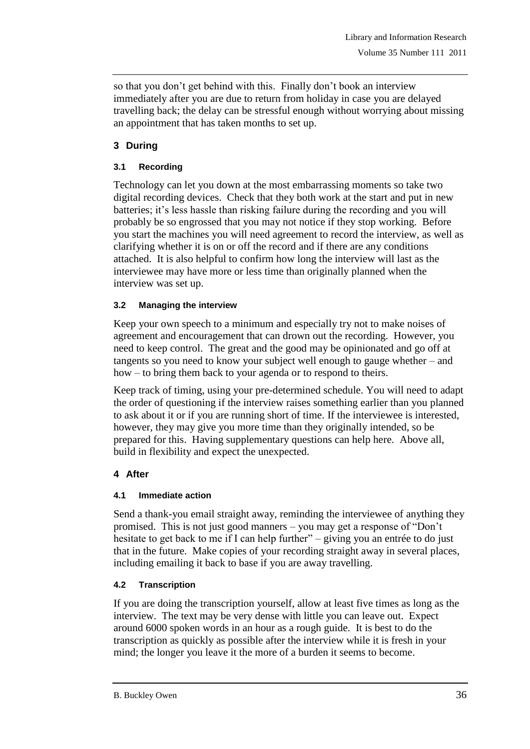so that you don't get behind with this. Finally don't book an interview immediately after you are due to return from holiday in case you are delayed travelling back; the delay can be stressful enough without worrying about missing an appointment that has taken months to set up.

# **3 During**

### **3.1 Recording**

Technology can let you down at the most embarrassing moments so take two digital recording devices. Check that they both work at the start and put in new batteries; it's less hassle than risking failure during the recording and you will probably be so engrossed that you may not notice if they stop working. Before you start the machines you will need agreement to record the interview, as well as clarifying whether it is on or off the record and if there are any conditions attached. It is also helpful to confirm how long the interview will last as the interviewee may have more or less time than originally planned when the interview was set up.

### **3.2 Managing the interview**

Keep your own speech to a minimum and especially try not to make noises of agreement and encouragement that can drown out the recording. However, you need to keep control. The great and the good may be opinionated and go off at tangents so you need to know your subject well enough to gauge whether – and how – to bring them back to your agenda or to respond to theirs.

Keep track of timing, using your pre-determined schedule. You will need to adapt the order of questioning if the interview raises something earlier than you planned to ask about it or if you are running short of time. If the interviewee is interested, however, they may give you more time than they originally intended, so be prepared for this. Having supplementary questions can help here. Above all, build in flexibility and expect the unexpected.

# **4 After**

### **4.1 Immediate action**

Send a thank-you email straight away, reminding the interviewee of anything they promised. This is not just good manners – you may get a response of "Don"t hesitate to get back to me if I can help further" – giving you an entrée to do just that in the future. Make copies of your recording straight away in several places, including emailing it back to base if you are away travelling.

# **4.2 Transcription**

If you are doing the transcription yourself, allow at least five times as long as the interview. The text may be very dense with little you can leave out. Expect around 6000 spoken words in an hour as a rough guide. It is best to do the transcription as quickly as possible after the interview while it is fresh in your mind; the longer you leave it the more of a burden it seems to become.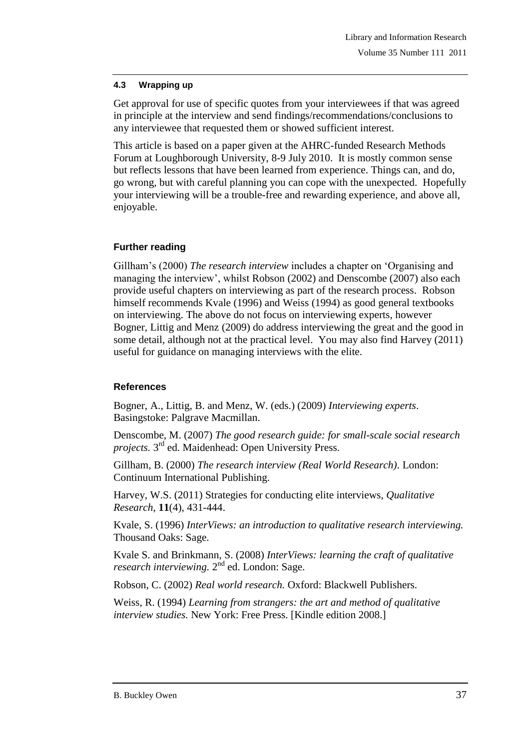### **4.3 Wrapping up**

Get approval for use of specific quotes from your interviewees if that was agreed in principle at the interview and send findings/recommendations/conclusions to any interviewee that requested them or showed sufficient interest.

This article is based on a paper given at the AHRC-funded Research Methods Forum at Loughborough University, 8-9 July 2010. It is mostly common sense but reflects lessons that have been learned from experience. Things can, and do, go wrong, but with careful planning you can cope with the unexpected. Hopefully your interviewing will be a trouble-free and rewarding experience, and above all, enjoyable.

### **Further reading**

Gillham"s (2000) *The research interview* includes a chapter on "Organising and managing the interview", whilst Robson (2002) and Denscombe (2007) also each provide useful chapters on interviewing as part of the research process. Robson himself recommends Kvale (1996) and Weiss (1994) as good general textbooks on interviewing. The above do not focus on interviewing experts, however Bogner, Littig and Menz (2009) do address interviewing the great and the good in some detail, although not at the practical level. You may also find Harvey (2011) useful for guidance on managing interviews with the elite.

### **References**

Bogner, A., Littig, B. and Menz, W. (eds.) (2009) *Interviewing experts*. Basingstoke: Palgrave Macmillan.

Denscombe, M. (2007) *The good research guide: for small-scale social research*  projects. 3<sup>rd</sup> ed. Maidenhead: Open University Press.

Gillham, B. (2000) *The research interview (Real World Research)*. London: Continuum International Publishing.

Harvey, W.S. (2011) Strategies for conducting elite interviews, *Qualitative Research*, **11**(4), 431-444.

Kvale, S. (1996) *InterViews: an introduction to qualitative research interviewing.*  Thousand Oaks: Sage.

Kvale S. and Brinkmann, S. (2008) *InterViews: learning the craft of qualitative*  research interviewing. 2<sup>nd</sup> ed. London: Sage.

Robson, C. (2002) *Real world research.* Oxford: Blackwell Publishers.

Weiss, R. (1994) *Learning from strangers: the art and method of qualitative interview studies.* New York: Free Press. [Kindle edition 2008.]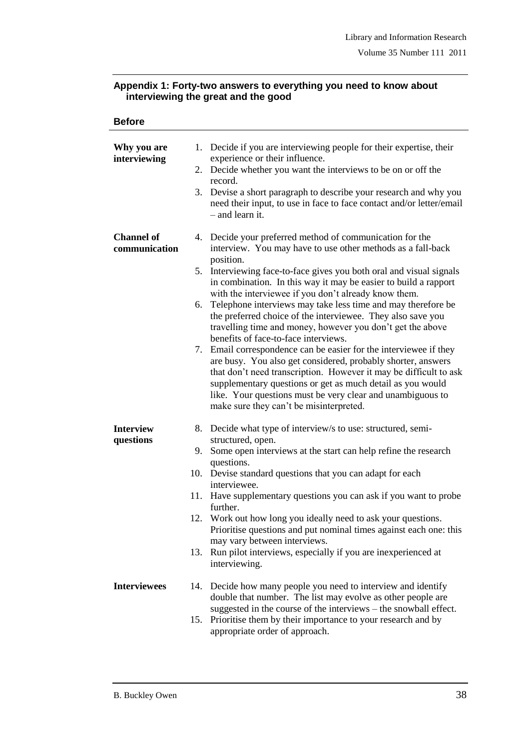### **Appendix 1: Forty-two answers to everything you need to know about interviewing the great and the good**

| ۱<br>L.<br>× |
|--------------|
|--------------|

| Why you are<br>interviewing        | 1. Decide if you are interviewing people for their expertise, their<br>experience or their influence.<br>2. Decide whether you want the interviews to be on or off the<br>record.<br>3. Devise a short paragraph to describe your research and why you<br>need their input, to use in face to face contact and/or letter/email<br>- and learn it.                                                                                                                                                                                                                                                                                                                                                                                                                                                                                                                                                                                                               |
|------------------------------------|-----------------------------------------------------------------------------------------------------------------------------------------------------------------------------------------------------------------------------------------------------------------------------------------------------------------------------------------------------------------------------------------------------------------------------------------------------------------------------------------------------------------------------------------------------------------------------------------------------------------------------------------------------------------------------------------------------------------------------------------------------------------------------------------------------------------------------------------------------------------------------------------------------------------------------------------------------------------|
| <b>Channel of</b><br>communication | 4. Decide your preferred method of communication for the<br>interview. You may have to use other methods as a fall-back<br>position.<br>5. Interviewing face-to-face gives you both oral and visual signals<br>in combination. In this way it may be easier to build a rapport<br>with the interviewee if you don't already know them.<br>6. Telephone interviews may take less time and may therefore be<br>the preferred choice of the interviewee. They also save you<br>travelling time and money, however you don't get the above<br>benefits of face-to-face interviews.<br>7. Email correspondence can be easier for the interviewee if they<br>are busy. You also get considered, probably shorter, answers<br>that don't need transcription. However it may be difficult to ask<br>supplementary questions or get as much detail as you would<br>like. Your questions must be very clear and unambiguous to<br>make sure they can't be misinterpreted. |
| <b>Interview</b><br>questions      | 8. Decide what type of interview/s to use: structured, semi-<br>structured, open.<br>9. Some open interviews at the start can help refine the research<br>questions.<br>10. Devise standard questions that you can adapt for each<br>interviewee.<br>11. Have supplementary questions you can ask if you want to probe<br>further.<br>12. Work out how long you ideally need to ask your questions.<br>Prioritise questions and put nominal times against each one: this<br>may vary between interviews.<br>Run pilot interviews, especially if you are inexperienced at<br>13.<br>interviewing.                                                                                                                                                                                                                                                                                                                                                                |
| <b>Interviewees</b>                | 14. Decide how many people you need to interview and identify<br>double that number. The list may evolve as other people are<br>suggested in the course of the interviews - the snowball effect.<br>15. Prioritise them by their importance to your research and by<br>appropriate order of approach.                                                                                                                                                                                                                                                                                                                                                                                                                                                                                                                                                                                                                                                           |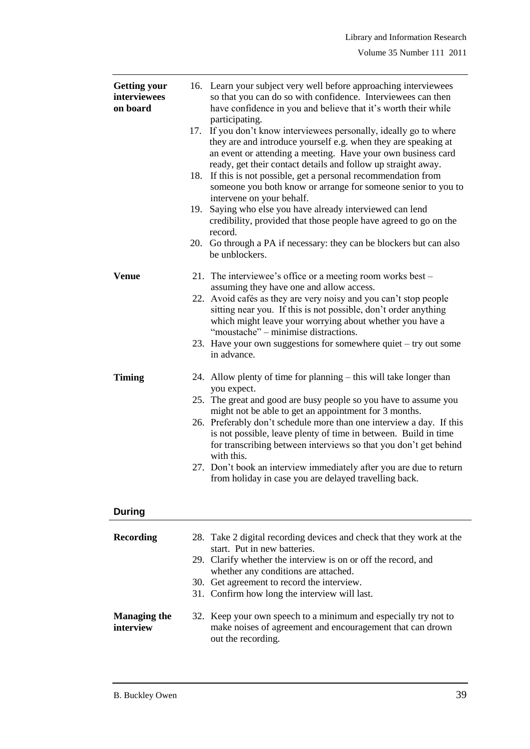| <b>Getting your</b><br>interviewees<br>on board | 17.<br>18.<br>19. | 16. Learn your subject very well before approaching interviewees<br>so that you can do so with confidence. Interviewees can then<br>have confidence in you and believe that it's worth their while<br>participating.<br>If you don't know interviewees personally, ideally go to where<br>they are and introduce yourself e.g. when they are speaking at<br>an event or attending a meeting. Have your own business card<br>ready, get their contact details and follow up straight away.<br>If this is not possible, get a personal recommendation from<br>someone you both know or arrange for someone senior to you to<br>intervene on your behalf.<br>Saying who else you have already interviewed can lend<br>credibility, provided that those people have agreed to go on the<br>record.<br>20. Go through a PA if necessary: they can be blockers but can also<br>be unblockers. |
|-------------------------------------------------|-------------------|-----------------------------------------------------------------------------------------------------------------------------------------------------------------------------------------------------------------------------------------------------------------------------------------------------------------------------------------------------------------------------------------------------------------------------------------------------------------------------------------------------------------------------------------------------------------------------------------------------------------------------------------------------------------------------------------------------------------------------------------------------------------------------------------------------------------------------------------------------------------------------------------|
| <b>Venue</b>                                    |                   | 21. The interviewee's office or a meeting room works best -<br>assuming they have one and allow access.<br>22. Avoid cafés as they are very noisy and you can't stop people<br>sitting near you. If this is not possible, don't order anything<br>which might leave your worrying about whether you have a<br>"moustache" – minimise distractions.<br>23. Have your own suggestions for somewhere quiet - try out some<br>in advance.                                                                                                                                                                                                                                                                                                                                                                                                                                                   |
| <b>Timing</b>                                   |                   | 24. Allow plenty of time for planning - this will take longer than<br>you expect.<br>25. The great and good are busy people so you have to assume you<br>might not be able to get an appointment for 3 months.<br>26. Preferably don't schedule more than one interview a day. If this<br>is not possible, leave plenty of time in between. Build in time<br>for transcribing between interviews so that you don't get behind<br>with this.<br>27. Don't book an interview immediately after you are due to return<br>from holiday in case you are delayed travelling back.                                                                                                                                                                                                                                                                                                             |

### **During**

| Recording                        | 28. Take 2 digital recording devices and check that they work at the<br>start. Put in new batteries.<br>29. Clarify whether the interview is on or off the record, and<br>whether any conditions are attached.<br>30. Get agreement to record the interview.<br>31. Confirm how long the interview will last. |
|----------------------------------|---------------------------------------------------------------------------------------------------------------------------------------------------------------------------------------------------------------------------------------------------------------------------------------------------------------|
| <b>Managing the</b><br>interview | 32. Keep your own speech to a minimum and especially try not to<br>make noises of agreement and encouragement that can drown<br>out the recording.                                                                                                                                                            |